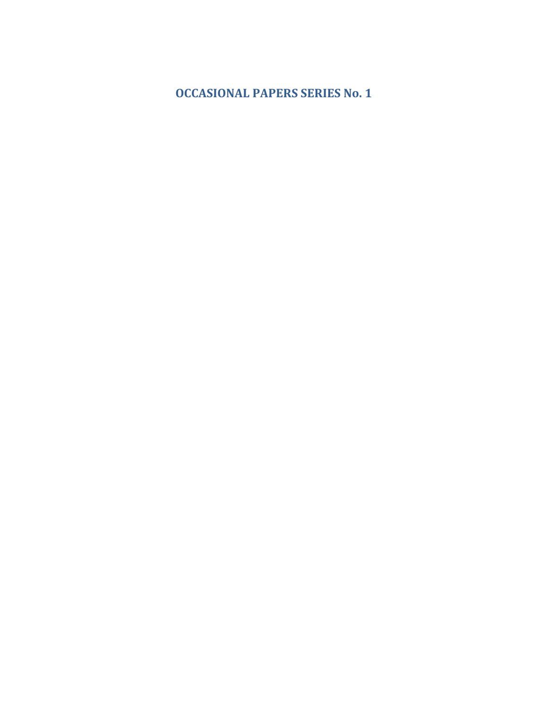**OCCASIONAL PAPERS SERIES No. 1**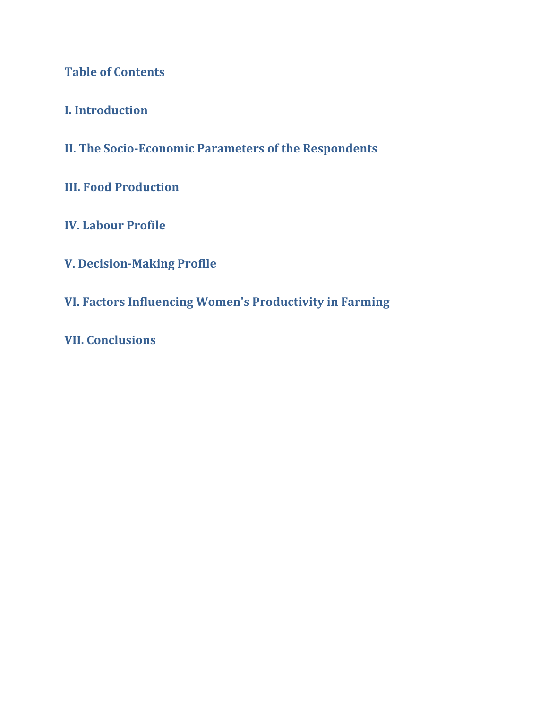**Table of Contents**

**I. Introduction**

**II. The SocioEconomic Parameters of the Respondents**

**III. Food Production**

**IV. Labour Profile**

**V. DecisionMaking Profile**

**VI. Factors Influencing Women's Productivity in Farming**

**VII. Conclusions**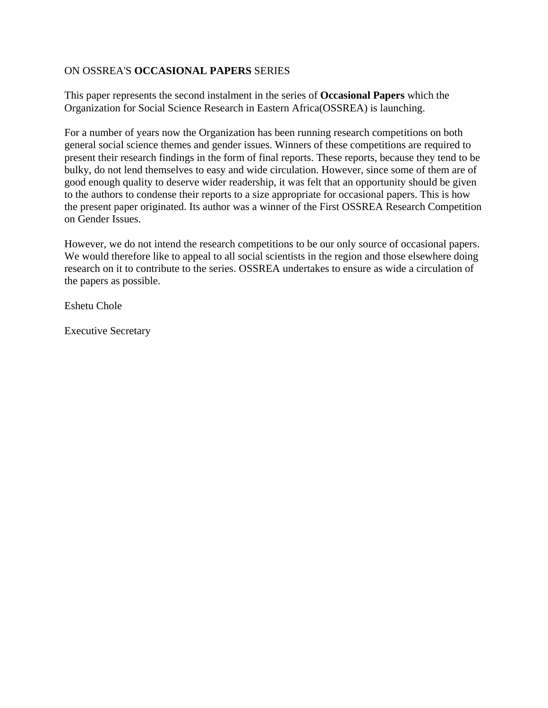#### ON OSSREA'S **OCCASIONAL PAPERS** SERIES

This paper represents the second instalment in the series of **Occasional Papers** which the Organization for Social Science Research in Eastern Africa(OSSREA) is launching.

For a number of years now the Organization has been running research competitions on both general social science themes and gender issues. Winners of these competitions are required to present their research findings in the form of final reports. These reports, because they tend to be bulky, do not lend themselves to easy and wide circulation. However, since some of them are of good enough quality to deserve wider readership, it was felt that an opportunity should be given to the authors to condense their reports to a size appropriate for occasional papers. This is how the present paper originated. Its author was a winner of the First OSSREA Research Competition on Gender Issues.

However, we do not intend the research competitions to be our only source of occasional papers. We would therefore like to appeal to all social scientists in the region and those elsewhere doing research on it to contribute to the series. OSSREA undertakes to ensure as wide a circulation of the papers as possible.

Eshetu Chole

Executive Secretary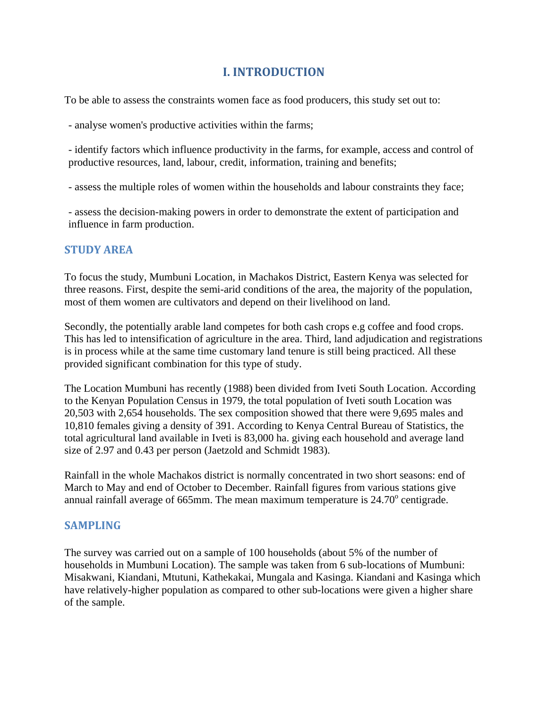# **I. INTRODUCTION**

To be able to assess the constraints women face as food producers, this study set out to:

- analyse women's productive activities within the farms;

- identify factors which influence productivity in the farms, for example, access and control of productive resources, land, labour, credit, information, training and benefits;

- assess the multiple roles of women within the households and labour constraints they face;

- assess the decision-making powers in order to demonstrate the extent of participation and influence in farm production.

### **STUDY AREA**

To focus the study, Mumbuni Location, in Machakos District, Eastern Kenya was selected for three reasons. First, despite the semi-arid conditions of the area, the majority of the population, most of them women are cultivators and depend on their livelihood on land.

Secondly, the potentially arable land competes for both cash crops e.g coffee and food crops. This has led to intensification of agriculture in the area. Third, land adjudication and registrations is in process while at the same time customary land tenure is still being practiced. All these provided significant combination for this type of study.

The Location Mumbuni has recently (1988) been divided from Iveti South Location. According to the Kenyan Population Census in 1979, the total population of Iveti south Location was 20,503 with 2,654 households. The sex composition showed that there were 9,695 males and 10,810 females giving a density of 391. According to Kenya Central Bureau of Statistics, the total agricultural land available in Iveti is 83,000 ha. giving each household and average land size of 2.97 and 0.43 per person (Jaetzold and Schmidt 1983).

Rainfall in the whole Machakos district is normally concentrated in two short seasons: end of March to May and end of October to December. Rainfall figures from various stations give annual rainfall average of 665mm. The mean maximum temperature is  $24.70^{\circ}$  centigrade.

#### **SAMPLING**

The survey was carried out on a sample of 100 households (about 5% of the number of households in Mumbuni Location). The sample was taken from 6 sub-locations of Mumbuni: Misakwani, Kiandani, Mtutuni, Kathekakai, Mungala and Kasinga. Kiandani and Kasinga which have relatively-higher population as compared to other sub-locations were given a higher share of the sample.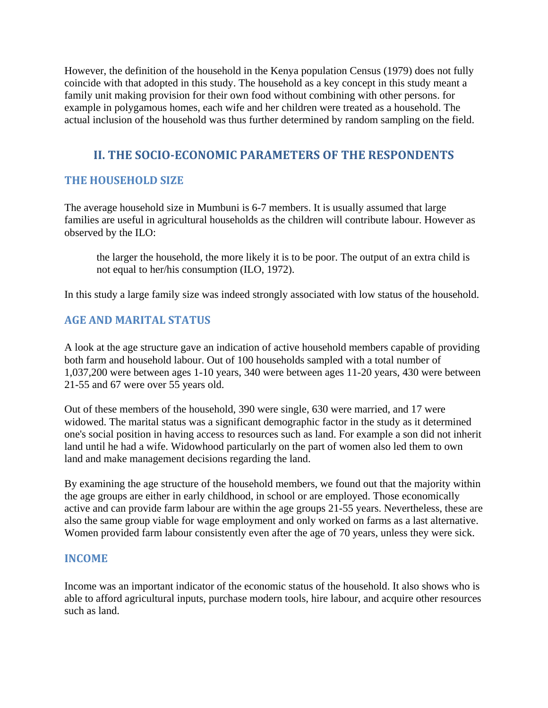However, the definition of the household in the Kenya population Census (1979) does not fully coincide with that adopted in this study. The household as a key concept in this study meant a family unit making provision for their own food without combining with other persons. for example in polygamous homes, each wife and her children were treated as a household. The actual inclusion of the household was thus further determined by random sampling on the field.

## **II. THE SOCIOECONOMIC PARAMETERS OF THE RESPONDENTS**

## **THE HOUSEHOLD SIZE**

The average household size in Mumbuni is 6-7 members. It is usually assumed that large families are useful in agricultural households as the children will contribute labour. However as observed by the ILO:

the larger the household, the more likely it is to be poor. The output of an extra child is not equal to her/his consumption (ILO, 1972).

In this study a large family size was indeed strongly associated with low status of the household.

## **AGE AND MARITAL STATUS**

A look at the age structure gave an indication of active household members capable of providing both farm and household labour. Out of 100 households sampled with a total number of 1,037,200 were between ages 1-10 years, 340 were between ages 11-20 years, 430 were between 21-55 and 67 were over 55 years old.

Out of these members of the household, 390 were single, 630 were married, and 17 were widowed. The marital status was a significant demographic factor in the study as it determined one's social position in having access to resources such as land. For example a son did not inherit land until he had a wife. Widowhood particularly on the part of women also led them to own land and make management decisions regarding the land.

By examining the age structure of the household members, we found out that the majority within the age groups are either in early childhood, in school or are employed. Those economically active and can provide farm labour are within the age groups 21-55 years. Nevertheless, these are also the same group viable for wage employment and only worked on farms as a last alternative. Women provided farm labour consistently even after the age of 70 years, unless they were sick.

### **INCOME**

Income was an important indicator of the economic status of the household. It also shows who is able to afford agricultural inputs, purchase modern tools, hire labour, and acquire other resources such as land.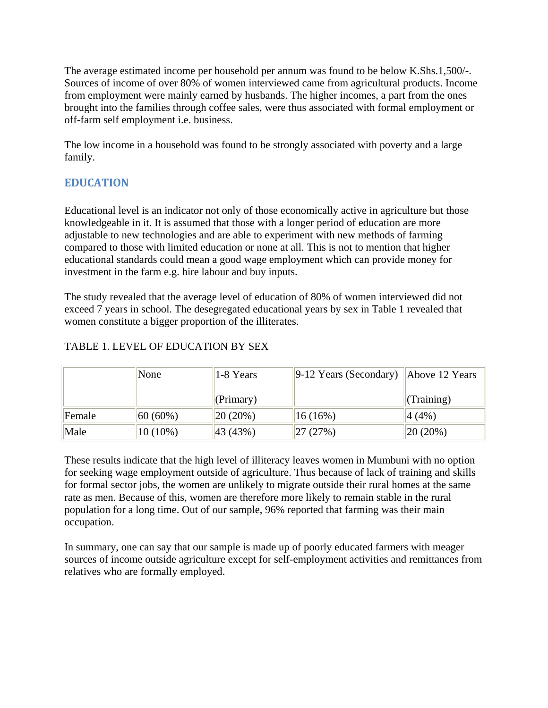The average estimated income per household per annum was found to be below K.Shs.1,500/-. Sources of income of over 80% of women interviewed came from agricultural products. Income from employment were mainly earned by husbands. The higher incomes, a part from the ones brought into the families through coffee sales, were thus associated with formal employment or off-farm self employment i.e. business.

The low income in a household was found to be strongly associated with poverty and a large family.

# **EDUCATION**

Educational level is an indicator not only of those economically active in agriculture but those knowledgeable in it. It is assumed that those with a longer period of education are more adjustable to new technologies and are able to experiment with new methods of farming compared to those with limited education or none at all. This is not to mention that higher educational standards could mean a good wage employment which can provide money for investment in the farm e.g. hire labour and buy inputs.

The study revealed that the average level of education of 80% of women interviewed did not exceed 7 years in school. The desegregated educational years by sex in Table 1 revealed that women constitute a bigger proportion of the illiterates.

|        | None        | 1-8 Years   | $\left\ 9\text{-}12\right\ $ Years (Secondary) $\left\  \right\ $ Above 12 Years |                 |
|--------|-------------|-------------|----------------------------------------------------------------------------------|-----------------|
|        |             | (Primary)   |                                                                                  | $\ $ (Training) |
| Female | $ 60(60\%)$ | $ 20(20\%)$ | 16(16%)                                                                          | $ 4(4\%)$       |
| Male   | $10(10\%)$  | 43 (43%)    | 27(27%)                                                                          | $ 20(20\%)$     |

## TABLE 1. LEVEL OF EDUCATION BY SEX

These results indicate that the high level of illiteracy leaves women in Mumbuni with no option for seeking wage employment outside of agriculture. Thus because of lack of training and skills for formal sector jobs, the women are unlikely to migrate outside their rural homes at the same rate as men. Because of this, women are therefore more likely to remain stable in the rural population for a long time. Out of our sample, 96% reported that farming was their main occupation.

In summary, one can say that our sample is made up of poorly educated farmers with meager sources of income outside agriculture except for self-employment activities and remittances from relatives who are formally employed.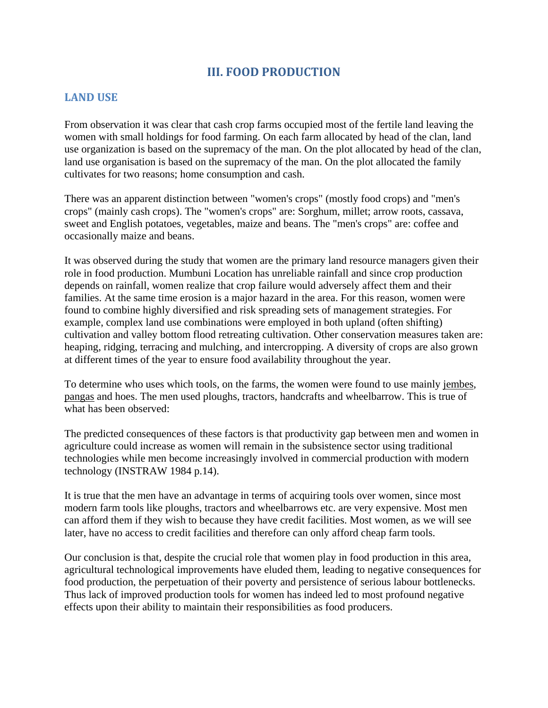## **III. FOOD PRODUCTION**

### **LAND USE**

From observation it was clear that cash crop farms occupied most of the fertile land leaving the women with small holdings for food farming. On each farm allocated by head of the clan, land use organization is based on the supremacy of the man. On the plot allocated by head of the clan, land use organisation is based on the supremacy of the man. On the plot allocated the family cultivates for two reasons; home consumption and cash.

There was an apparent distinction between "women's crops" (mostly food crops) and "men's crops" (mainly cash crops). The "women's crops" are: Sorghum, millet; arrow roots, cassava, sweet and English potatoes, vegetables, maize and beans. The "men's crops" are: coffee and occasionally maize and beans.

It was observed during the study that women are the primary land resource managers given their role in food production. Mumbuni Location has unreliable rainfall and since crop production depends on rainfall, women realize that crop failure would adversely affect them and their families. At the same time erosion is a major hazard in the area. For this reason, women were found to combine highly diversified and risk spreading sets of management strategies. For example, complex land use combinations were employed in both upland (often shifting) cultivation and valley bottom flood retreating cultivation. Other conservation measures taken are: heaping, ridging, terracing and mulching, and intercropping. A diversity of crops are also grown at different times of the year to ensure food availability throughout the year.

To determine who uses which tools, on the farms, the women were found to use mainly jembes, pangas and hoes. The men used ploughs, tractors, handcrafts and wheelbarrow. This is true of what has been observed:

The predicted consequences of these factors is that productivity gap between men and women in agriculture could increase as women will remain in the subsistence sector using traditional technologies while men become increasingly involved in commercial production with modern technology (INSTRAW 1984 p.14).

It is true that the men have an advantage in terms of acquiring tools over women, since most modern farm tools like ploughs, tractors and wheelbarrows etc. are very expensive. Most men can afford them if they wish to because they have credit facilities. Most women, as we will see later, have no access to credit facilities and therefore can only afford cheap farm tools.

Our conclusion is that, despite the crucial role that women play in food production in this area, agricultural technological improvements have eluded them, leading to negative consequences for food production, the perpetuation of their poverty and persistence of serious labour bottlenecks. Thus lack of improved production tools for women has indeed led to most profound negative effects upon their ability to maintain their responsibilities as food producers.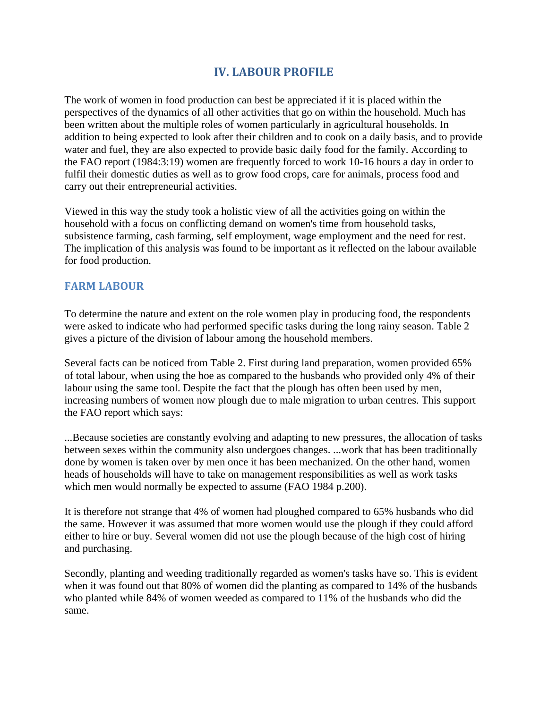## **IV. LABOUR PROFILE**

The work of women in food production can best be appreciated if it is placed within the perspectives of the dynamics of all other activities that go on within the household. Much has been written about the multiple roles of women particularly in agricultural households. In addition to being expected to look after their children and to cook on a daily basis, and to provide water and fuel, they are also expected to provide basic daily food for the family. According to the FAO report (1984:3:19) women are frequently forced to work 10-16 hours a day in order to fulfil their domestic duties as well as to grow food crops, care for animals, process food and carry out their entrepreneurial activities.

Viewed in this way the study took a holistic view of all the activities going on within the household with a focus on conflicting demand on women's time from household tasks, subsistence farming, cash farming, self employment, wage employment and the need for rest. The implication of this analysis was found to be important as it reflected on the labour available for food production.

### **FARM LABOUR**

To determine the nature and extent on the role women play in producing food, the respondents were asked to indicate who had performed specific tasks during the long rainy season. Table 2 gives a picture of the division of labour among the household members.

Several facts can be noticed from Table 2. First during land preparation, women provided 65% of total labour, when using the hoe as compared to the husbands who provided only 4% of their labour using the same tool. Despite the fact that the plough has often been used by men, increasing numbers of women now plough due to male migration to urban centres. This support the FAO report which says:

...Because societies are constantly evolving and adapting to new pressures, the allocation of tasks between sexes within the community also undergoes changes. ...work that has been traditionally done by women is taken over by men once it has been mechanized. On the other hand, women heads of households will have to take on management responsibilities as well as work tasks which men would normally be expected to assume (FAO 1984 p.200).

It is therefore not strange that 4% of women had ploughed compared to 65% husbands who did the same. However it was assumed that more women would use the plough if they could afford either to hire or buy. Several women did not use the plough because of the high cost of hiring and purchasing.

Secondly, planting and weeding traditionally regarded as women's tasks have so. This is evident when it was found out that 80% of women did the planting as compared to 14% of the husbands who planted while 84% of women weeded as compared to 11% of the husbands who did the same.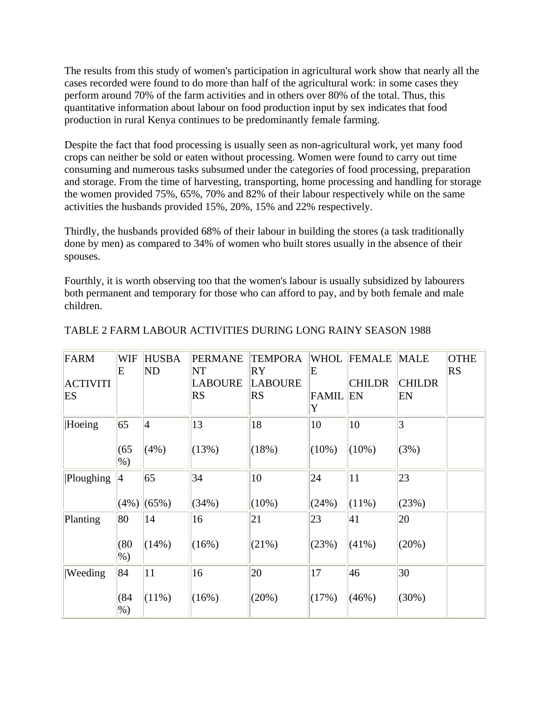The results from this study of women's participation in agricultural work show that nearly all the cases recorded were found to do more than half of the agricultural work: in some cases they perform around 70% of the farm activities and in others over 80% of the total. Thus, this quantitative information about labour on food production input by sex indicates that food production in rural Kenya continues to be predominantly female farming.

Despite the fact that food processing is usually seen as non-agricultural work, yet many food crops can neither be sold or eaten without processing. Women were found to carry out time consuming and numerous tasks subsumed under the categories of food processing, preparation and storage. From the time of harvesting, transporting, home processing and handling for storage the women provided 75%, 65%, 70% and 82% of their labour respectively while on the same activities the husbands provided 15%, 20%, 15% and 22% respectively.

Thirdly, the husbands provided 68% of their labour in building the stores (a task traditionally done by men) as compared to 34% of women who built stores usually in the absence of their spouses.

Fourthly, it is worth observing too that the women's labour is usually subsidized by labourers both permanent and temporary for those who can afford to pay, and by both female and male children.

| <b>FARM</b><br><b>ACTIVITI</b><br>ES | <b>WIF</b><br>E            | <b>HUSBA</b><br>ND     | <b>PERMANE</b><br>NT<br><b>LABOURE</b><br><b>RS</b> | <b>TEMPORA</b><br>RY<br><b>LABOURE</b><br><b>RS</b> | <b>WHOL</b><br>E<br><b>FAMIL</b><br>Y | FEMALE<br><b>CHILDR</b><br>EN | <b>MALE</b><br><b>CHILDR</b><br>EN | <b>OTHE</b><br><b>RS</b> |
|--------------------------------------|----------------------------|------------------------|-----------------------------------------------------|-----------------------------------------------------|---------------------------------------|-------------------------------|------------------------------------|--------------------------|
| Hoeing                               | 65<br>(65)<br>$%$ )        | $\overline{4}$<br>(4%) | 13<br>(13%)                                         | 18<br>(18%)                                         | 10<br>$(10\%)$                        | 10<br>$(10\%)$                | $\vert 3 \vert$<br>(3%)            |                          |
| Ploughing                            | $\vert 4 \vert$<br>$(4\%)$ | 65<br>(65%)            | 34<br>(34%)                                         | 10<br>$(10\%)$                                      | 24<br>(24%)                           | 11<br>$(11\%)$                | 23<br>(23%)                        |                          |
| Planting                             | 80<br>(80)<br>$%$ )        | 14<br>(14%)            | 16<br>(16%)                                         | 21<br>(21%)                                         | 23<br>(23%)                           | 41<br>$(41\%)$                | 20<br>(20%)                        |                          |
| Weeding                              | 84<br>(84)<br>$%$ )        | 11<br>$(11\%)$         | 16<br>(16%)                                         | 20<br>(20%)                                         | 17<br>(17%)                           | 46<br>(46%)                   | 30<br>(30%)                        |                          |

#### TABLE 2 FARM LABOUR ACTIVITIES DURING LONG RAINY SEASON 1988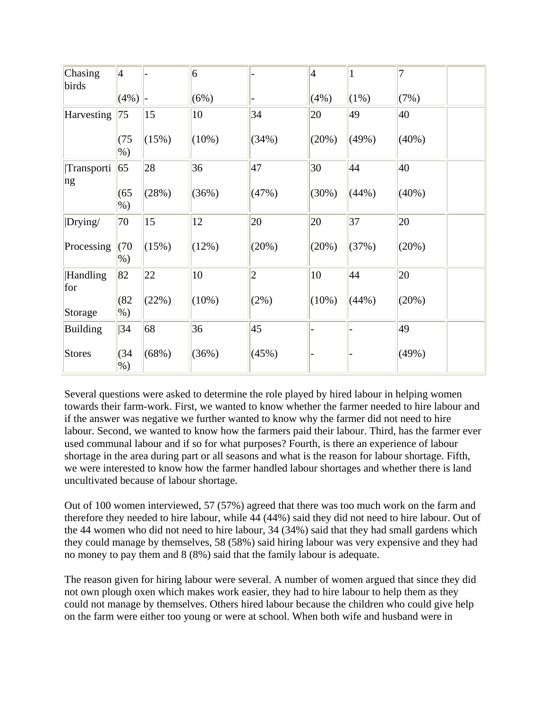| Chasing<br>birds       | $\vert 4 \vert$ |       | $\vert 6 \vert$ |              | $\vert 4 \vert$ | 1       | 7     |  |
|------------------------|-----------------|-------|-----------------|--------------|-----------------|---------|-------|--|
|                        | $(4\%)$         |       | (6%)            |              | (4%)            | $(1\%)$ | (7%)  |  |
| Harvesting             | 75              | 15    | 10              | 34           | 20              | 49      | 40    |  |
|                        | (75)<br>$%$ )   | (15%) | $(10\%)$        | (34%)        | (20%)           | (49%)   | (40%) |  |
| Transporti<br>ng       | 65              | 28    | 36              | 47           | 30              | 44      | 40    |  |
|                        | (65)<br>$%$ )   | (28%) | (36%)           | (47%)        | (30%)           | (44%)   | (40%) |  |
| Drying/                | 70              | 15    | 12              | 20           | 20              | 37      | 20    |  |
| Processing             | (70)<br>$%$ )   | (15%) | (12%)           | (20%)        | (20%)           | (37%)   | (20%) |  |
| <b>Handling</b><br>for | 82              | 22    | 10              | $ 2\rangle$  | 10              | 44      | 20    |  |
| Storage                | (82)<br>$%$ )   | (22%) | $(10\%)$        | (2%)         | $(10\%)$        | (44%)   | (20%) |  |
| <b>Building</b>        | 34              | 68    | 36              | $ 45\rangle$ |                 |         | 49    |  |
| <b>Stores</b>          | (34)<br>$%$ )   | (68%) | (36%)           | (45%)        |                 |         | (49%) |  |

Several questions were asked to determine the role played by hired labour in helping women towards their farm-work. First, we wanted to know whether the farmer needed to hire labour and if the answer was negative we further wanted to know why the farmer did not need to hire labour. Second, we wanted to know how the farmers paid their labour. Third, has the farmer ever used communal labour and if so for what purposes? Fourth, is there an experience of labour shortage in the area during part or all seasons and what is the reason for labour shortage. Fifth, we were interested to know how the farmer handled labour shortages and whether there is land uncultivated because of labour shortage.

Out of 100 women interviewed, 57 (57%) agreed that there was too much work on the farm and therefore they needed to hire labour, while 44 (44%) said they did not need to hire labour. Out of the 44 women who did not need to hire labour, 34 (34%) said that they had small gardens which they could manage by themselves, 58 (58%) said hiring labour was very expensive and they had no money to pay them and 8 (8%) said that the family labour is adequate.

The reason given for hiring labour were several. A number of women argued that since they did not own plough oxen which makes work easier, they had to hire labour to help them as they could not manage by themselves. Others hired labour because the children who could give help on the farm were either too young or were at school. When both wife and husband were in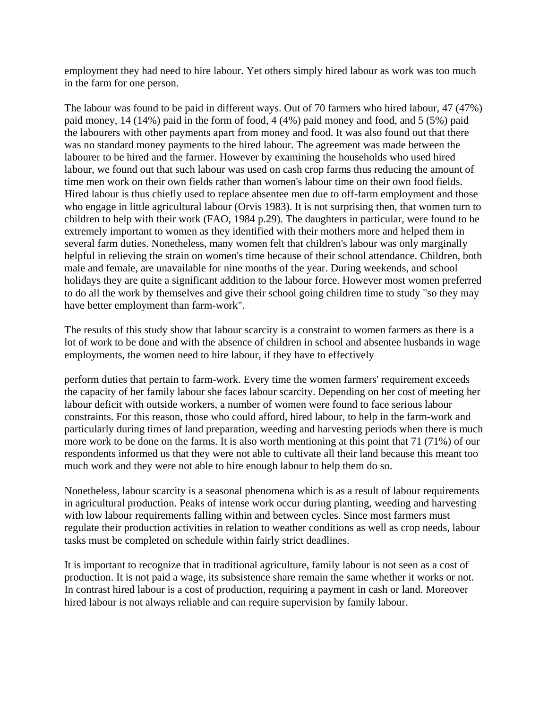employment they had need to hire labour. Yet others simply hired labour as work was too much in the farm for one person.

The labour was found to be paid in different ways. Out of 70 farmers who hired labour, 47 (47%) paid money, 14 (14%) paid in the form of food, 4 (4%) paid money and food, and 5 (5%) paid the labourers with other payments apart from money and food. It was also found out that there was no standard money payments to the hired labour. The agreement was made between the labourer to be hired and the farmer. However by examining the households who used hired labour, we found out that such labour was used on cash crop farms thus reducing the amount of time men work on their own fields rather than women's labour time on their own food fields. Hired labour is thus chiefly used to replace absentee men due to off-farm employment and those who engage in little agricultural labour (Orvis 1983). It is not surprising then, that women turn to children to help with their work (FAO, 1984 p.29). The daughters in particular, were found to be extremely important to women as they identified with their mothers more and helped them in several farm duties. Nonetheless, many women felt that children's labour was only marginally helpful in relieving the strain on women's time because of their school attendance. Children, both male and female, are unavailable for nine months of the year. During weekends, and school holidays they are quite a significant addition to the labour force. However most women preferred to do all the work by themselves and give their school going children time to study "so they may have better employment than farm-work".

The results of this study show that labour scarcity is a constraint to women farmers as there is a lot of work to be done and with the absence of children in school and absentee husbands in wage employments, the women need to hire labour, if they have to effectively

perform duties that pertain to farm-work. Every time the women farmers' requirement exceeds the capacity of her family labour she faces labour scarcity. Depending on her cost of meeting her labour deficit with outside workers, a number of women were found to face serious labour constraints. For this reason, those who could afford, hired labour, to help in the farm-work and particularly during times of land preparation, weeding and harvesting periods when there is much more work to be done on the farms. It is also worth mentioning at this point that 71 (71%) of our respondents informed us that they were not able to cultivate all their land because this meant too much work and they were not able to hire enough labour to help them do so.

Nonetheless, labour scarcity is a seasonal phenomena which is as a result of labour requirements in agricultural production. Peaks of intense work occur during planting, weeding and harvesting with low labour requirements falling within and between cycles. Since most farmers must regulate their production activities in relation to weather conditions as well as crop needs, labour tasks must be completed on schedule within fairly strict deadlines.

It is important to recognize that in traditional agriculture, family labour is not seen as a cost of production. It is not paid a wage, its subsistence share remain the same whether it works or not. In contrast hired labour is a cost of production, requiring a payment in cash or land. Moreover hired labour is not always reliable and can require supervision by family labour.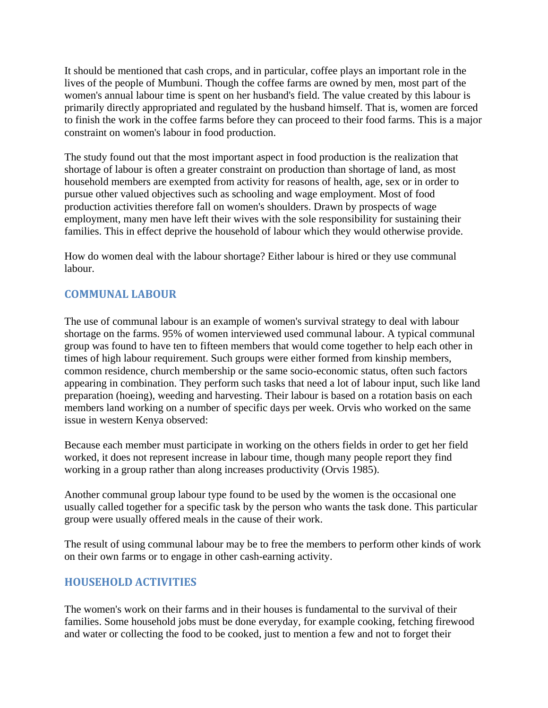It should be mentioned that cash crops, and in particular, coffee plays an important role in the lives of the people of Mumbuni. Though the coffee farms are owned by men, most part of the women's annual labour time is spent on her husband's field. The value created by this labour is primarily directly appropriated and regulated by the husband himself. That is, women are forced to finish the work in the coffee farms before they can proceed to their food farms. This is a major constraint on women's labour in food production.

The study found out that the most important aspect in food production is the realization that shortage of labour is often a greater constraint on production than shortage of land, as most household members are exempted from activity for reasons of health, age, sex or in order to pursue other valued objectives such as schooling and wage employment. Most of food production activities therefore fall on women's shoulders. Drawn by prospects of wage employment, many men have left their wives with the sole responsibility for sustaining their families. This in effect deprive the household of labour which they would otherwise provide.

How do women deal with the labour shortage? Either labour is hired or they use communal labour.

## **COMMUNAL LABOUR**

The use of communal labour is an example of women's survival strategy to deal with labour shortage on the farms. 95% of women interviewed used communal labour. A typical communal group was found to have ten to fifteen members that would come together to help each other in times of high labour requirement. Such groups were either formed from kinship members, common residence, church membership or the same socio-economic status, often such factors appearing in combination. They perform such tasks that need a lot of labour input, such like land preparation (hoeing), weeding and harvesting. Their labour is based on a rotation basis on each members land working on a number of specific days per week. Orvis who worked on the same issue in western Kenya observed:

Because each member must participate in working on the others fields in order to get her field worked, it does not represent increase in labour time, though many people report they find working in a group rather than along increases productivity (Orvis 1985).

Another communal group labour type found to be used by the women is the occasional one usually called together for a specific task by the person who wants the task done. This particular group were usually offered meals in the cause of their work.

The result of using communal labour may be to free the members to perform other kinds of work on their own farms or to engage in other cash-earning activity.

### **HOUSEHOLD ACTIVITIES**

The women's work on their farms and in their houses is fundamental to the survival of their families. Some household jobs must be done everyday, for example cooking, fetching firewood and water or collecting the food to be cooked, just to mention a few and not to forget their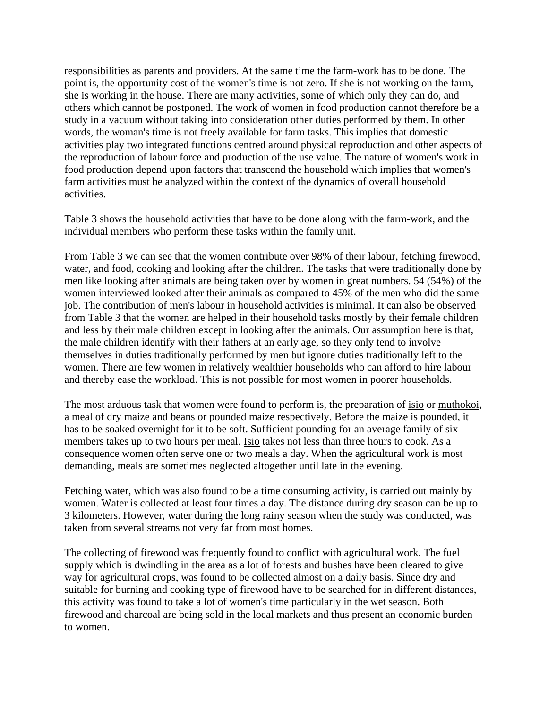responsibilities as parents and providers. At the same time the farm-work has to be done. The point is, the opportunity cost of the women's time is not zero. If she is not working on the farm, she is working in the house. There are many activities, some of which only they can do, and others which cannot be postponed. The work of women in food production cannot therefore be a study in a vacuum without taking into consideration other duties performed by them. In other words, the woman's time is not freely available for farm tasks. This implies that domestic activities play two integrated functions centred around physical reproduction and other aspects of the reproduction of labour force and production of the use value. The nature of women's work in food production depend upon factors that transcend the household which implies that women's farm activities must be analyzed within the context of the dynamics of overall household activities.

Table 3 shows the household activities that have to be done along with the farm-work, and the individual members who perform these tasks within the family unit.

From Table 3 we can see that the women contribute over 98% of their labour, fetching firewood, water, and food, cooking and looking after the children. The tasks that were traditionally done by men like looking after animals are being taken over by women in great numbers. 54 (54%) of the women interviewed looked after their animals as compared to 45% of the men who did the same job. The contribution of men's labour in household activities is minimal. It can also be observed from Table 3 that the women are helped in their household tasks mostly by their female children and less by their male children except in looking after the animals. Our assumption here is that, the male children identify with their fathers at an early age, so they only tend to involve themselves in duties traditionally performed by men but ignore duties traditionally left to the women. There are few women in relatively wealthier households who can afford to hire labour and thereby ease the workload. This is not possible for most women in poorer households.

The most arduous task that women were found to perform is, the preparation of isio or muthokoi, a meal of dry maize and beans or pounded maize respectively. Before the maize is pounded, it has to be soaked overnight for it to be soft. Sufficient pounding for an average family of six members takes up to two hours per meal. Isio takes not less than three hours to cook. As a consequence women often serve one or two meals a day. When the agricultural work is most demanding, meals are sometimes neglected altogether until late in the evening.

Fetching water, which was also found to be a time consuming activity, is carried out mainly by women. Water is collected at least four times a day. The distance during dry season can be up to 3 kilometers. However, water during the long rainy season when the study was conducted, was taken from several streams not very far from most homes.

The collecting of firewood was frequently found to conflict with agricultural work. The fuel supply which is dwindling in the area as a lot of forests and bushes have been cleared to give way for agricultural crops, was found to be collected almost on a daily basis. Since dry and suitable for burning and cooking type of firewood have to be searched for in different distances, this activity was found to take a lot of women's time particularly in the wet season. Both firewood and charcoal are being sold in the local markets and thus present an economic burden to women.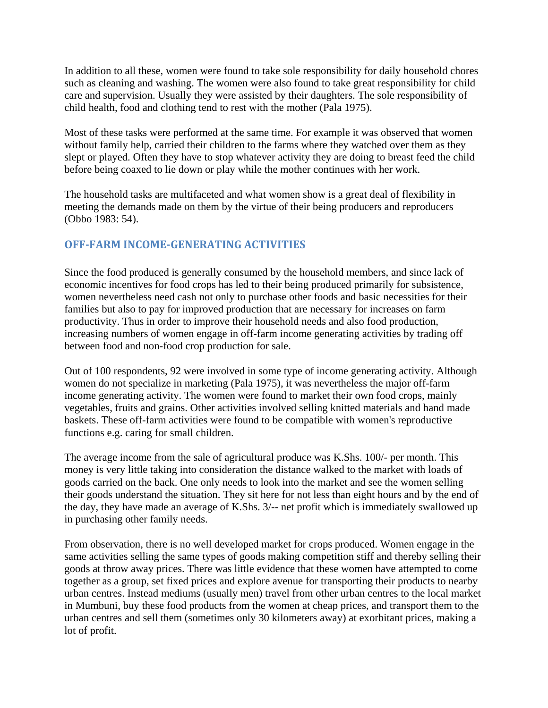In addition to all these, women were found to take sole responsibility for daily household chores such as cleaning and washing. The women were also found to take great responsibility for child care and supervision. Usually they were assisted by their daughters. The sole responsibility of child health, food and clothing tend to rest with the mother (Pala 1975).

Most of these tasks were performed at the same time. For example it was observed that women without family help, carried their children to the farms where they watched over them as they slept or played. Often they have to stop whatever activity they are doing to breast feed the child before being coaxed to lie down or play while the mother continues with her work.

The household tasks are multifaceted and what women show is a great deal of flexibility in meeting the demands made on them by the virtue of their being producers and reproducers (Obbo 1983: 54).

## **OFFFARM INCOMEGENERATING ACTIVITIES**

Since the food produced is generally consumed by the household members, and since lack of economic incentives for food crops has led to their being produced primarily for subsistence, women nevertheless need cash not only to purchase other foods and basic necessities for their families but also to pay for improved production that are necessary for increases on farm productivity. Thus in order to improve their household needs and also food production, increasing numbers of women engage in off-farm income generating activities by trading off between food and non-food crop production for sale.

Out of 100 respondents, 92 were involved in some type of income generating activity. Although women do not specialize in marketing (Pala 1975), it was nevertheless the major off-farm income generating activity. The women were found to market their own food crops, mainly vegetables, fruits and grains. Other activities involved selling knitted materials and hand made baskets. These off-farm activities were found to be compatible with women's reproductive functions e.g. caring for small children.

The average income from the sale of agricultural produce was K.Shs. 100/- per month. This money is very little taking into consideration the distance walked to the market with loads of goods carried on the back. One only needs to look into the market and see the women selling their goods understand the situation. They sit here for not less than eight hours and by the end of the day, they have made an average of K.Shs. 3/-- net profit which is immediately swallowed up in purchasing other family needs.

From observation, there is no well developed market for crops produced. Women engage in the same activities selling the same types of goods making competition stiff and thereby selling their goods at throw away prices. There was little evidence that these women have attempted to come together as a group, set fixed prices and explore avenue for transporting their products to nearby urban centres. Instead mediums (usually men) travel from other urban centres to the local market in Mumbuni, buy these food products from the women at cheap prices, and transport them to the urban centres and sell them (sometimes only 30 kilometers away) at exorbitant prices, making a lot of profit.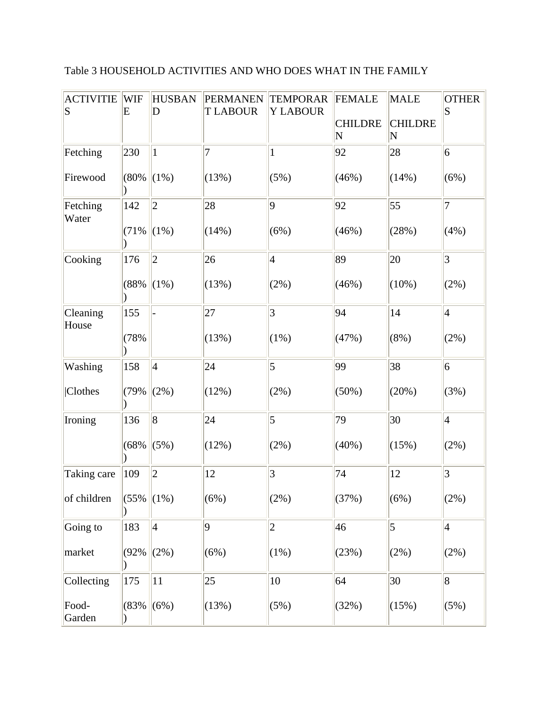# Table 3 HOUSEHOLD ACTIVITIES AND WHO DOES WHAT IN THE FAMILY

| <b>ACTIVITIE</b><br>$\vert S \vert$ | WIF<br>E | <b>HUSBAN</b><br>D | <b>PERMANEN</b><br><b>TLABOUR</b> | <b>TEMPORAR</b><br><b>Y LABOUR</b> | <b>FEMALE</b>                             | <b>MALE</b>                               | <b>OTHER</b><br>$\vert S \vert$ |
|-------------------------------------|----------|--------------------|-----------------------------------|------------------------------------|-------------------------------------------|-------------------------------------------|---------------------------------|
|                                     |          |                    |                                   |                                    | <b>CHILDRE</b><br>$\overline{\mathbf{N}}$ | <b>CHILDRE</b><br>$\overline{\mathbf{N}}$ |                                 |
| Fetching                            | 230      | $\mathbf{1}$       | $\overline{7}$                    | 1                                  | 92                                        | 28                                        | $\vert 6 \vert$                 |
| Firewood                            | (80%     | $(1\%)$            | (13%)                             | (5%)                               | (46%)                                     | (14%)                                     | (6%)                            |
| Fetching<br>Water                   | 142      | $ 2\rangle$        | 28                                | $ 9\rangle$                        | 92                                        | 55                                        | 7                               |
|                                     | (71%     | $(1\%)$            | (14%)                             | (6%)                               | (46%)                                     | (28%)                                     | (4%)                            |
| Cooking                             | 176      | $ 2\rangle$        | 26                                | $\vert 4 \vert$                    | 89                                        | 20                                        | 3                               |
|                                     | (88%     | $(1\%)$            | (13%)                             | (2%)                               | (46%)                                     | $(10\%)$                                  | (2%)                            |
| Cleaning<br>House                   | 155      |                    | 27                                | $\overline{3}$                     | 94                                        | 14                                        | $\vert 4 \vert$                 |
|                                     | (78%     |                    | (13%)                             | $(1\%)$                            | (47%)                                     | $(8\%)$                                   | $(2\%)$                         |
| Washing                             | 158      | $\vert 4 \vert$    | 24                                | $\overline{5}$                     | 99                                        | 38                                        | 6                               |
| Clothes                             | (79%     | (2%)               | (12%)                             | (2%)                               | $(50\%)$                                  | (20%)                                     | (3%)                            |
| Ironing                             | 136      | 8                  | 24                                | $\overline{5}$                     | 79                                        | 30                                        | $\vert 4 \vert$                 |
|                                     | (68%     | (5%)               | (12%)                             | (2%)                               | (40%)                                     | (15%)                                     | (2%)                            |
| Taking care                         | 109      | $ 2\rangle$        | 12                                | 3                                  | 74                                        | 12                                        | $\vert 3 \vert$                 |
| of children                         | (55%     | $(1\%)$            | (6%)                              | $(2\%)$                            | (37%)                                     | (6%)                                      | (2%)                            |
| Going to                            | 183      | $\vert 4 \vert$    | $\overline{9}$                    | $\overline{2}$                     | 46                                        | 5                                         | $\vert 4 \vert$                 |
| market                              | (92%     | (2%)               | (6%)                              | $(1\%)$                            | (23%)                                     | $(2\%)$                                   | (2%)                            |
| Collecting                          | 175      | 11                 | 25                                | 10                                 | 64                                        | 30                                        | 8                               |
| Food-<br>Garden                     | (83%     | (6%)               | (13%)                             | (5%)                               | (32%)                                     | (15%)                                     | (5%)                            |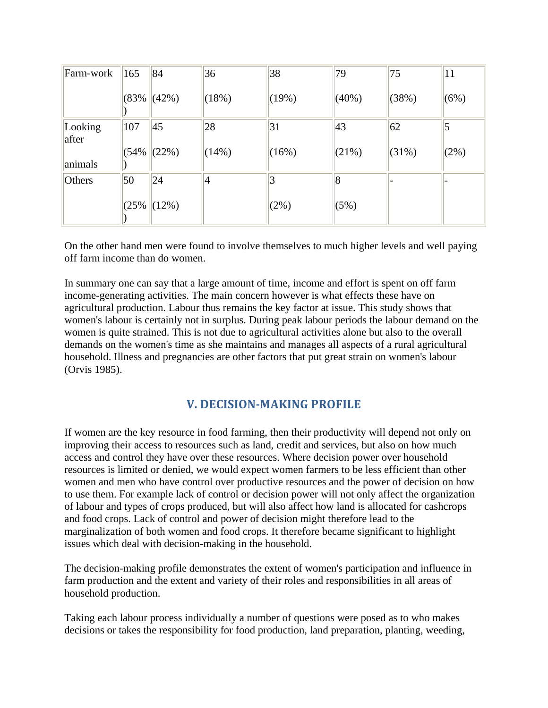| Farm-work        | 165  | 84        | 36    | 38    | 79       | 75       | 11             |
|------------------|------|-----------|-------|-------|----------|----------|----------------|
|                  | (83% | $ (42\%)$ | (18%) | (19%) | $(40\%)$ | (38%)    | (6%)           |
| Looking<br>after | 107  | 45        | 28    | 31    | 43       | 62       | $\overline{5}$ |
| animals          | (54% | (22%)     | (14%) | (16%) | (21%)    | $(31\%)$ | (2%)           |
| Others           | 50   | 24        | 4     |       | 8        |          |                |
|                  | (25% | (12%)     |       | (2%)  | (5%)     |          |                |

On the other hand men were found to involve themselves to much higher levels and well paying off farm income than do women.

In summary one can say that a large amount of time, income and effort is spent on off farm income-generating activities. The main concern however is what effects these have on agricultural production. Labour thus remains the key factor at issue. This study shows that women's labour is certainly not in surplus. During peak labour periods the labour demand on the women is quite strained. This is not due to agricultural activities alone but also to the overall demands on the women's time as she maintains and manages all aspects of a rural agricultural household. Illness and pregnancies are other factors that put great strain on women's labour (Orvis 1985).

## **V. DECISIONMAKING PROFILE**

If women are the key resource in food farming, then their productivity will depend not only on improving their access to resources such as land, credit and services, but also on how much access and control they have over these resources. Where decision power over household resources is limited or denied, we would expect women farmers to be less efficient than other women and men who have control over productive resources and the power of decision on how to use them. For example lack of control or decision power will not only affect the organization of labour and types of crops produced, but will also affect how land is allocated for cashcrops and food crops. Lack of control and power of decision might therefore lead to the marginalization of both women and food crops. It therefore became significant to highlight issues which deal with decision-making in the household.

The decision-making profile demonstrates the extent of women's participation and influence in farm production and the extent and variety of their roles and responsibilities in all areas of household production.

Taking each labour process individually a number of questions were posed as to who makes decisions or takes the responsibility for food production, land preparation, planting, weeding,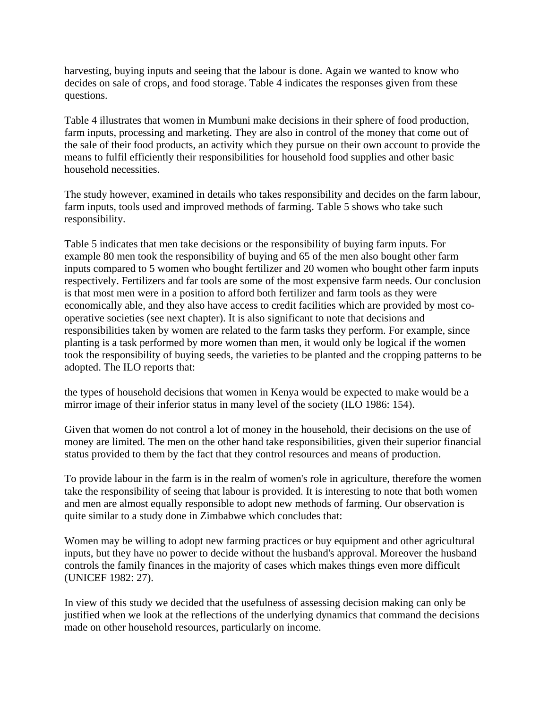harvesting, buying inputs and seeing that the labour is done. Again we wanted to know who decides on sale of crops, and food storage. Table 4 indicates the responses given from these questions.

Table 4 illustrates that women in Mumbuni make decisions in their sphere of food production, farm inputs, processing and marketing. They are also in control of the money that come out of the sale of their food products, an activity which they pursue on their own account to provide the means to fulfil efficiently their responsibilities for household food supplies and other basic household necessities.

The study however, examined in details who takes responsibility and decides on the farm labour, farm inputs, tools used and improved methods of farming. Table 5 shows who take such responsibility.

Table 5 indicates that men take decisions or the responsibility of buying farm inputs. For example 80 men took the responsibility of buying and 65 of the men also bought other farm inputs compared to 5 women who bought fertilizer and 20 women who bought other farm inputs respectively. Fertilizers and far tools are some of the most expensive farm needs. Our conclusion is that most men were in a position to afford both fertilizer and farm tools as they were economically able, and they also have access to credit facilities which are provided by most cooperative societies (see next chapter). It is also significant to note that decisions and responsibilities taken by women are related to the farm tasks they perform. For example, since planting is a task performed by more women than men, it would only be logical if the women took the responsibility of buying seeds, the varieties to be planted and the cropping patterns to be adopted. The ILO reports that:

the types of household decisions that women in Kenya would be expected to make would be a mirror image of their inferior status in many level of the society (ILO 1986: 154).

Given that women do not control a lot of money in the household, their decisions on the use of money are limited. The men on the other hand take responsibilities, given their superior financial status provided to them by the fact that they control resources and means of production.

To provide labour in the farm is in the realm of women's role in agriculture, therefore the women take the responsibility of seeing that labour is provided. It is interesting to note that both women and men are almost equally responsible to adopt new methods of farming. Our observation is quite similar to a study done in Zimbabwe which concludes that:

Women may be willing to adopt new farming practices or buy equipment and other agricultural inputs, but they have no power to decide without the husband's approval. Moreover the husband controls the family finances in the majority of cases which makes things even more difficult (UNICEF 1982: 27).

In view of this study we decided that the usefulness of assessing decision making can only be justified when we look at the reflections of the underlying dynamics that command the decisions made on other household resources, particularly on income.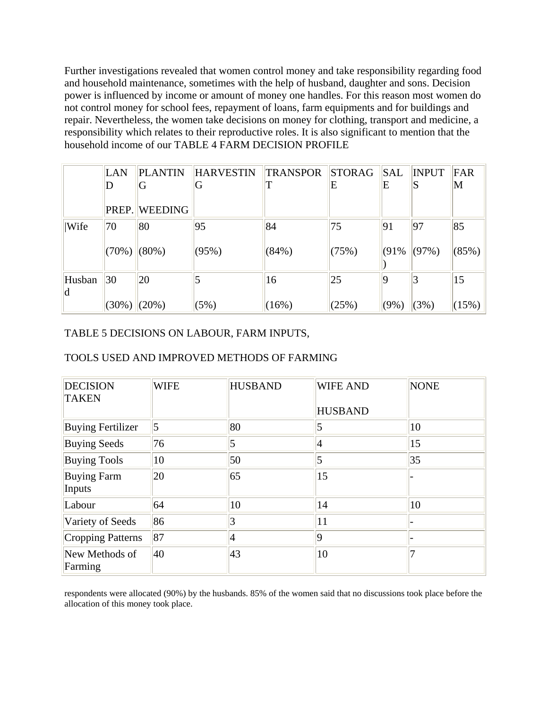Further investigations revealed that women control money and take responsibility regarding food and household maintenance, sometimes with the help of husband, daughter and sons. Decision power is influenced by income or amount of money one handles. For this reason most women do not control money for school fees, repayment of loans, farm equipments and for buildings and repair. Nevertheless, the women take decisions on money for clothing, transport and medicine, a responsibility which relates to their reproductive roles. It is also significant to mention that the household income of our TABLE 4 FARM DECISION PROFILE

|               | LAN<br>D          | <b>PLANTIN</b><br>G  | <b>HARVESTIN</b><br>G | <b>TRANSPOR</b> | <b>STORAG</b><br>E | SAL<br>Е | <b>INPUT</b><br>IS | <b>FAR</b><br>M |
|---------------|-------------------|----------------------|-----------------------|-----------------|--------------------|----------|--------------------|-----------------|
|               |                   | <b>PREP. WEEDING</b> |                       |                 |                    |          |                    |                 |
| Wife          | 70                | 80                   | 95                    | 84              | 75                 | 91       | 97                 | 85              |
|               | $(70\%)$ (80%)    |                      | (95%)                 | (84%)           | (75%)              | (91%     | $ (97\%)$          | (85%)           |
| Husban<br>ld. | 30                | 20                   |                       | 16              | 25                 |          | 3                  | 15              |
|               | $(30\%)$ $(20\%)$ |                      | (5%)                  | (16%)           | (25%)              | (9%)     | (3%)               | (15%)           |

#### TABLE 5 DECISIONS ON LABOUR, FARM INPUTS,

#### TOOLS USED AND IMPROVED METHODS OF FARMING

| <b>DECISION</b><br><b>TAKEN</b> | <b>WIFE</b>     | <b>HUSBAND</b> | <b>WIFE AND</b><br><b>HUSBAND</b> | <b>NONE</b> |
|---------------------------------|-----------------|----------------|-----------------------------------|-------------|
| <b>Buying Fertilizer</b>        | $\vert 5 \vert$ | 80             | 5                                 | 10          |
| <b>Buying Seeds</b>             | 76              | 5              | 4                                 | 15          |
| <b>Buying Tools</b>             | 10              | 50             | 5                                 | 35          |
| <b>Buying Farm</b><br>Inputs    | 20              | 65             | 15                                |             |
| Labour                          | 64              | 10             | 14                                | 10          |
| Variety of Seeds                | 86              | 3              | 11                                |             |
| Cropping Patterns               | 87              | 4              | 9                                 |             |
| New Methods of<br>Farming       | 40              | 43             | 10                                |             |

respondents were allocated (90%) by the husbands. 85% of the women said that no discussions took place before the allocation of this money took place.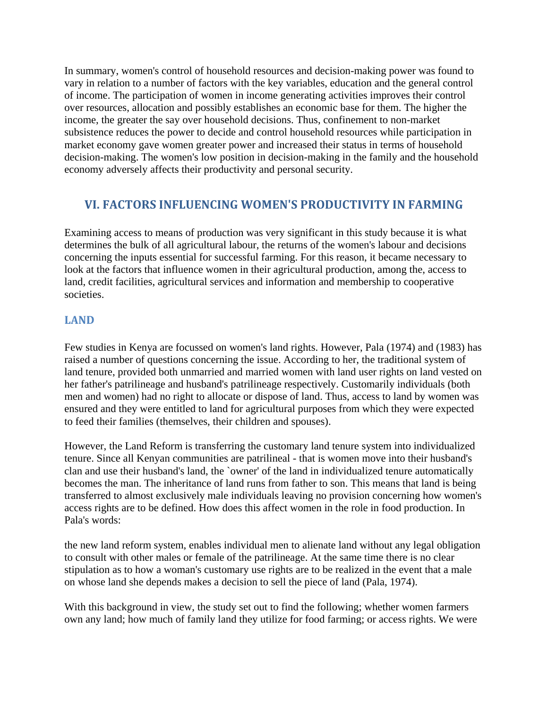In summary, women's control of household resources and decision-making power was found to vary in relation to a number of factors with the key variables, education and the general control of income. The participation of women in income generating activities improves their control over resources, allocation and possibly establishes an economic base for them. The higher the income, the greater the say over household decisions. Thus, confinement to non-market subsistence reduces the power to decide and control household resources while participation in market economy gave women greater power and increased their status in terms of household decision-making. The women's low position in decision-making in the family and the household economy adversely affects their productivity and personal security.

## **VI. FACTORS INFLUENCING WOMEN'S PRODUCTIVITY IN FARMING**

Examining access to means of production was very significant in this study because it is what determines the bulk of all agricultural labour, the returns of the women's labour and decisions concerning the inputs essential for successful farming. For this reason, it became necessary to look at the factors that influence women in their agricultural production, among the, access to land, credit facilities, agricultural services and information and membership to cooperative societies.

### **LAND**

Few studies in Kenya are focussed on women's land rights. However, Pala (1974) and (1983) has raised a number of questions concerning the issue. According to her, the traditional system of land tenure, provided both unmarried and married women with land user rights on land vested on her father's patrilineage and husband's patrilineage respectively. Customarily individuals (both men and women) had no right to allocate or dispose of land. Thus, access to land by women was ensured and they were entitled to land for agricultural purposes from which they were expected to feed their families (themselves, their children and spouses).

However, the Land Reform is transferring the customary land tenure system into individualized tenure. Since all Kenyan communities are patrilineal - that is women move into their husband's clan and use their husband's land, the `owner' of the land in individualized tenure automatically becomes the man. The inheritance of land runs from father to son. This means that land is being transferred to almost exclusively male individuals leaving no provision concerning how women's access rights are to be defined. How does this affect women in the role in food production. In Pala's words:

the new land reform system, enables individual men to alienate land without any legal obligation to consult with other males or female of the patrilineage. At the same time there is no clear stipulation as to how a woman's customary use rights are to be realized in the event that a male on whose land she depends makes a decision to sell the piece of land (Pala, 1974).

With this background in view, the study set out to find the following; whether women farmers own any land; how much of family land they utilize for food farming; or access rights. We were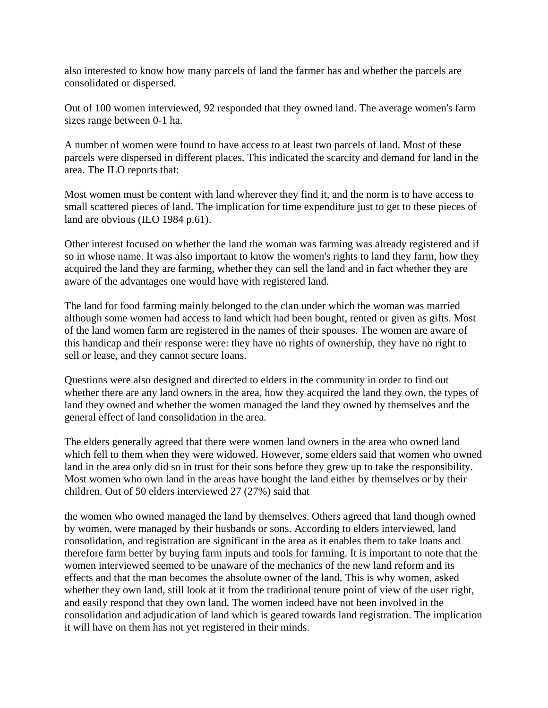also interested to know how many parcels of land the farmer has and whether the parcels are consolidated or dispersed.

Out of 100 women interviewed, 92 responded that they owned land. The average women's farm sizes range between 0-1 ha.

A number of women were found to have access to at least two parcels of land. Most of these parcels were dispersed in different places. This indicated the scarcity and demand for land in the area. The ILO reports that:

Most women must be content with land wherever they find it, and the norm is to have access to small scattered pieces of land. The implication for time expenditure just to get to these pieces of land are obvious (ILO 1984 p.61).

Other interest focused on whether the land the woman was farming was already registered and if so in whose name. It was also important to know the women's rights to land they farm, how they acquired the land they are farming, whether they can sell the land and in fact whether they are aware of the advantages one would have with registered land.

The land for food farming mainly belonged to the clan under which the woman was married although some women had access to land which had been bought, rented or given as gifts. Most of the land women farm are registered in the names of their spouses. The women are aware of this handicap and their response were: they have no rights of ownership, they have no right to sell or lease, and they cannot secure loans.

Questions were also designed and directed to elders in the community in order to find out whether there are any land owners in the area, how they acquired the land they own, the types of land they owned and whether the women managed the land they owned by themselves and the general effect of land consolidation in the area.

The elders generally agreed that there were women land owners in the area who owned land which fell to them when they were widowed. However, some elders said that women who owned land in the area only did so in trust for their sons before they grew up to take the responsibility. Most women who own land in the areas have bought the land either by themselves or by their children. Out of 50 elders interviewed 27 (27%) said that

the women who owned managed the land by themselves. Others agreed that land though owned by women, were managed by their husbands or sons. According to elders interviewed, land consolidation, and registration are significant in the area as it enables them to take loans and therefore farm better by buying farm inputs and tools for farming. It is important to note that the women interviewed seemed to be unaware of the mechanics of the new land reform and its effects and that the man becomes the absolute owner of the land. This is why women, asked whether they own land, still look at it from the traditional tenure point of view of the user right, and easily respond that they own land. The women indeed have not been involved in the consolidation and adjudication of land which is geared towards land registration. The implication it will have on them has not yet registered in their minds.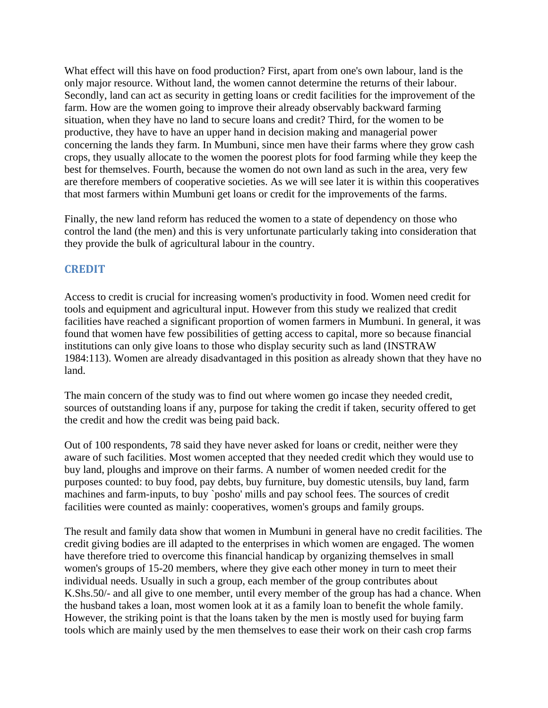What effect will this have on food production? First, apart from one's own labour, land is the only major resource. Without land, the women cannot determine the returns of their labour. Secondly, land can act as security in getting loans or credit facilities for the improvement of the farm. How are the women going to improve their already observably backward farming situation, when they have no land to secure loans and credit? Third, for the women to be productive, they have to have an upper hand in decision making and managerial power concerning the lands they farm. In Mumbuni, since men have their farms where they grow cash crops, they usually allocate to the women the poorest plots for food farming while they keep the best for themselves. Fourth, because the women do not own land as such in the area, very few are therefore members of cooperative societies. As we will see later it is within this cooperatives that most farmers within Mumbuni get loans or credit for the improvements of the farms.

Finally, the new land reform has reduced the women to a state of dependency on those who control the land (the men) and this is very unfortunate particularly taking into consideration that they provide the bulk of agricultural labour in the country.

### **CREDIT**

Access to credit is crucial for increasing women's productivity in food. Women need credit for tools and equipment and agricultural input. However from this study we realized that credit facilities have reached a significant proportion of women farmers in Mumbuni. In general, it was found that women have few possibilities of getting access to capital, more so because financial institutions can only give loans to those who display security such as land (INSTRAW 1984:113). Women are already disadvantaged in this position as already shown that they have no land.

The main concern of the study was to find out where women go incase they needed credit, sources of outstanding loans if any, purpose for taking the credit if taken, security offered to get the credit and how the credit was being paid back.

Out of 100 respondents, 78 said they have never asked for loans or credit, neither were they aware of such facilities. Most women accepted that they needed credit which they would use to buy land, ploughs and improve on their farms. A number of women needed credit for the purposes counted: to buy food, pay debts, buy furniture, buy domestic utensils, buy land, farm machines and farm-inputs, to buy `posho' mills and pay school fees. The sources of credit facilities were counted as mainly: cooperatives, women's groups and family groups.

The result and family data show that women in Mumbuni in general have no credit facilities. The credit giving bodies are ill adapted to the enterprises in which women are engaged. The women have therefore tried to overcome this financial handicap by organizing themselves in small women's groups of 15-20 members, where they give each other money in turn to meet their individual needs. Usually in such a group, each member of the group contributes about K.Shs.50/- and all give to one member, until every member of the group has had a chance. When the husband takes a loan, most women look at it as a family loan to benefit the whole family. However, the striking point is that the loans taken by the men is mostly used for buying farm tools which are mainly used by the men themselves to ease their work on their cash crop farms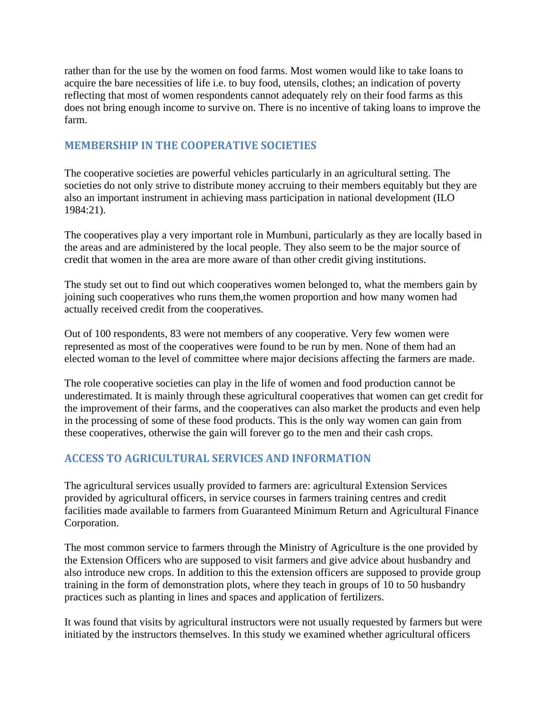rather than for the use by the women on food farms. Most women would like to take loans to acquire the bare necessities of life i.e. to buy food, utensils, clothes; an indication of poverty reflecting that most of women respondents cannot adequately rely on their food farms as this does not bring enough income to survive on. There is no incentive of taking loans to improve the farm.

#### **MEMBERSHIP IN THE COOPERATIVE SOCIETIES**

The cooperative societies are powerful vehicles particularly in an agricultural setting. The societies do not only strive to distribute money accruing to their members equitably but they are also an important instrument in achieving mass participation in national development (ILO 1984:21).

The cooperatives play a very important role in Mumbuni, particularly as they are locally based in the areas and are administered by the local people. They also seem to be the major source of credit that women in the area are more aware of than other credit giving institutions.

The study set out to find out which cooperatives women belonged to, what the members gain by joining such cooperatives who runs them,the women proportion and how many women had actually received credit from the cooperatives.

Out of 100 respondents, 83 were not members of any cooperative. Very few women were represented as most of the cooperatives were found to be run by men. None of them had an elected woman to the level of committee where major decisions affecting the farmers are made.

The role cooperative societies can play in the life of women and food production cannot be underestimated. It is mainly through these agricultural cooperatives that women can get credit for the improvement of their farms, and the cooperatives can also market the products and even help in the processing of some of these food products. This is the only way women can gain from these cooperatives, otherwise the gain will forever go to the men and their cash crops.

### **ACCESS TO AGRICULTURAL SERVICES AND INFORMATION**

The agricultural services usually provided to farmers are: agricultural Extension Services provided by agricultural officers, in service courses in farmers training centres and credit facilities made available to farmers from Guaranteed Minimum Return and Agricultural Finance Corporation.

The most common service to farmers through the Ministry of Agriculture is the one provided by the Extension Officers who are supposed to visit farmers and give advice about husbandry and also introduce new crops. In addition to this the extension officers are supposed to provide group training in the form of demonstration plots, where they teach in groups of 10 to 50 husbandry practices such as planting in lines and spaces and application of fertilizers.

It was found that visits by agricultural instructors were not usually requested by farmers but were initiated by the instructors themselves. In this study we examined whether agricultural officers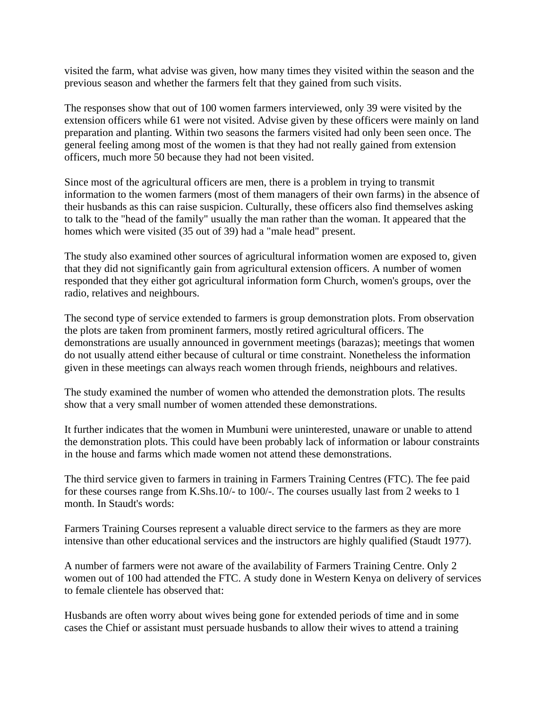visited the farm, what advise was given, how many times they visited within the season and the previous season and whether the farmers felt that they gained from such visits.

The responses show that out of 100 women farmers interviewed, only 39 were visited by the extension officers while 61 were not visited. Advise given by these officers were mainly on land preparation and planting. Within two seasons the farmers visited had only been seen once. The general feeling among most of the women is that they had not really gained from extension officers, much more 50 because they had not been visited.

Since most of the agricultural officers are men, there is a problem in trying to transmit information to the women farmers (most of them managers of their own farms) in the absence of their husbands as this can raise suspicion. Culturally, these officers also find themselves asking to talk to the "head of the family" usually the man rather than the woman. It appeared that the homes which were visited (35 out of 39) had a "male head" present.

The study also examined other sources of agricultural information women are exposed to, given that they did not significantly gain from agricultural extension officers. A number of women responded that they either got agricultural information form Church, women's groups, over the radio, relatives and neighbours.

The second type of service extended to farmers is group demonstration plots. From observation the plots are taken from prominent farmers, mostly retired agricultural officers. The demonstrations are usually announced in government meetings (barazas); meetings that women do not usually attend either because of cultural or time constraint. Nonetheless the information given in these meetings can always reach women through friends, neighbours and relatives.

The study examined the number of women who attended the demonstration plots. The results show that a very small number of women attended these demonstrations.

It further indicates that the women in Mumbuni were uninterested, unaware or unable to attend the demonstration plots. This could have been probably lack of information or labour constraints in the house and farms which made women not attend these demonstrations.

The third service given to farmers in training in Farmers Training Centres (FTC). The fee paid for these courses range from K.Shs.10/- to 100/-. The courses usually last from 2 weeks to 1 month. In Staudt's words:

Farmers Training Courses represent a valuable direct service to the farmers as they are more intensive than other educational services and the instructors are highly qualified (Staudt 1977).

A number of farmers were not aware of the availability of Farmers Training Centre. Only 2 women out of 100 had attended the FTC. A study done in Western Kenya on delivery of services to female clientele has observed that:

Husbands are often worry about wives being gone for extended periods of time and in some cases the Chief or assistant must persuade husbands to allow their wives to attend a training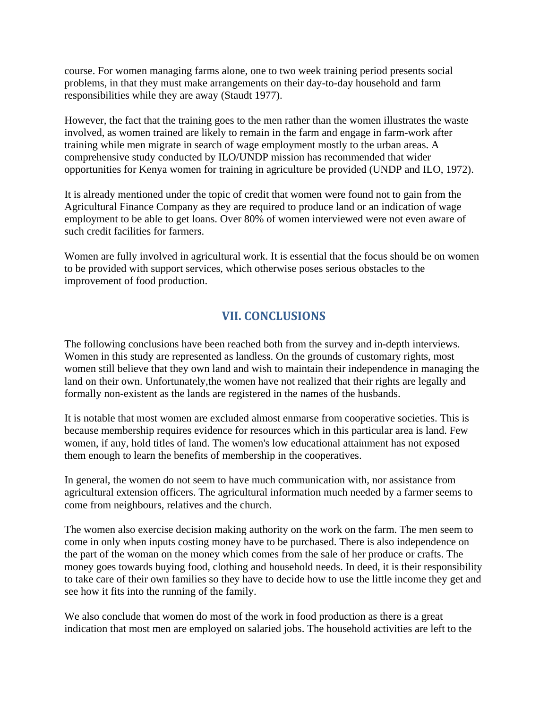course. For women managing farms alone, one to two week training period presents social problems, in that they must make arrangements on their day-to-day household and farm responsibilities while they are away (Staudt 1977).

However, the fact that the training goes to the men rather than the women illustrates the waste involved, as women trained are likely to remain in the farm and engage in farm-work after training while men migrate in search of wage employment mostly to the urban areas. A comprehensive study conducted by ILO/UNDP mission has recommended that wider opportunities for Kenya women for training in agriculture be provided (UNDP and ILO, 1972).

It is already mentioned under the topic of credit that women were found not to gain from the Agricultural Finance Company as they are required to produce land or an indication of wage employment to be able to get loans. Over 80% of women interviewed were not even aware of such credit facilities for farmers.

Women are fully involved in agricultural work. It is essential that the focus should be on women to be provided with support services, which otherwise poses serious obstacles to the improvement of food production.

# **VII. CONCLUSIONS**

The following conclusions have been reached both from the survey and in-depth interviews. Women in this study are represented as landless. On the grounds of customary rights, most women still believe that they own land and wish to maintain their independence in managing the land on their own. Unfortunately, the women have not realized that their rights are legally and formally non-existent as the lands are registered in the names of the husbands.

It is notable that most women are excluded almost enmarse from cooperative societies. This is because membership requires evidence for resources which in this particular area is land. Few women, if any, hold titles of land. The women's low educational attainment has not exposed them enough to learn the benefits of membership in the cooperatives.

In general, the women do not seem to have much communication with, nor assistance from agricultural extension officers. The agricultural information much needed by a farmer seems to come from neighbours, relatives and the church.

The women also exercise decision making authority on the work on the farm. The men seem to come in only when inputs costing money have to be purchased. There is also independence on the part of the woman on the money which comes from the sale of her produce or crafts. The money goes towards buying food, clothing and household needs. In deed, it is their responsibility to take care of their own families so they have to decide how to use the little income they get and see how it fits into the running of the family.

We also conclude that women do most of the work in food production as there is a great indication that most men are employed on salaried jobs. The household activities are left to the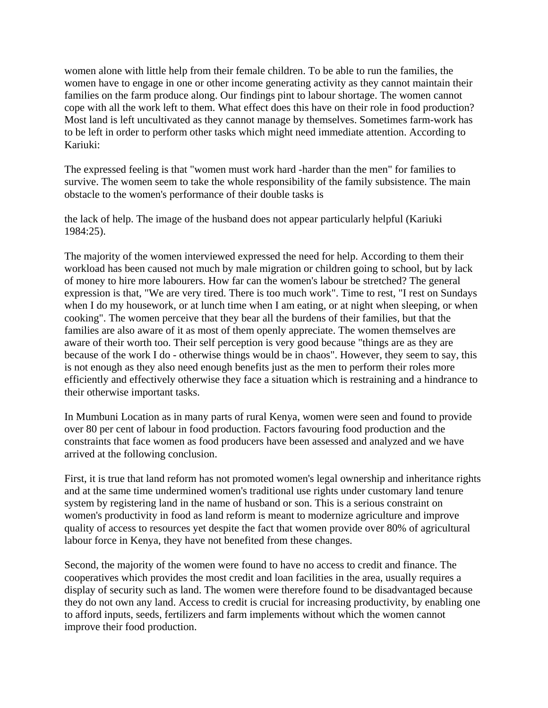women alone with little help from their female children. To be able to run the families, the women have to engage in one or other income generating activity as they cannot maintain their families on the farm produce along. Our findings pint to labour shortage. The women cannot cope with all the work left to them. What effect does this have on their role in food production? Most land is left uncultivated as they cannot manage by themselves. Sometimes farm-work has to be left in order to perform other tasks which might need immediate attention. According to Kariuki:

The expressed feeling is that "women must work hard -harder than the men" for families to survive. The women seem to take the whole responsibility of the family subsistence. The main obstacle to the women's performance of their double tasks is

the lack of help. The image of the husband does not appear particularly helpful (Kariuki 1984:25).

The majority of the women interviewed expressed the need for help. According to them their workload has been caused not much by male migration or children going to school, but by lack of money to hire more labourers. How far can the women's labour be stretched? The general expression is that, "We are very tired. There is too much work". Time to rest, "I rest on Sundays when I do my housework, or at lunch time when I am eating, or at night when sleeping, or when cooking". The women perceive that they bear all the burdens of their families, but that the families are also aware of it as most of them openly appreciate. The women themselves are aware of their worth too. Their self perception is very good because "things are as they are because of the work I do - otherwise things would be in chaos". However, they seem to say, this is not enough as they also need enough benefits just as the men to perform their roles more efficiently and effectively otherwise they face a situation which is restraining and a hindrance to their otherwise important tasks.

In Mumbuni Location as in many parts of rural Kenya, women were seen and found to provide over 80 per cent of labour in food production. Factors favouring food production and the constraints that face women as food producers have been assessed and analyzed and we have arrived at the following conclusion.

First, it is true that land reform has not promoted women's legal ownership and inheritance rights and at the same time undermined women's traditional use rights under customary land tenure system by registering land in the name of husband or son. This is a serious constraint on women's productivity in food as land reform is meant to modernize agriculture and improve quality of access to resources yet despite the fact that women provide over 80% of agricultural labour force in Kenya, they have not benefited from these changes.

Second, the majority of the women were found to have no access to credit and finance. The cooperatives which provides the most credit and loan facilities in the area, usually requires a display of security such as land. The women were therefore found to be disadvantaged because they do not own any land. Access to credit is crucial for increasing productivity, by enabling one to afford inputs, seeds, fertilizers and farm implements without which the women cannot improve their food production.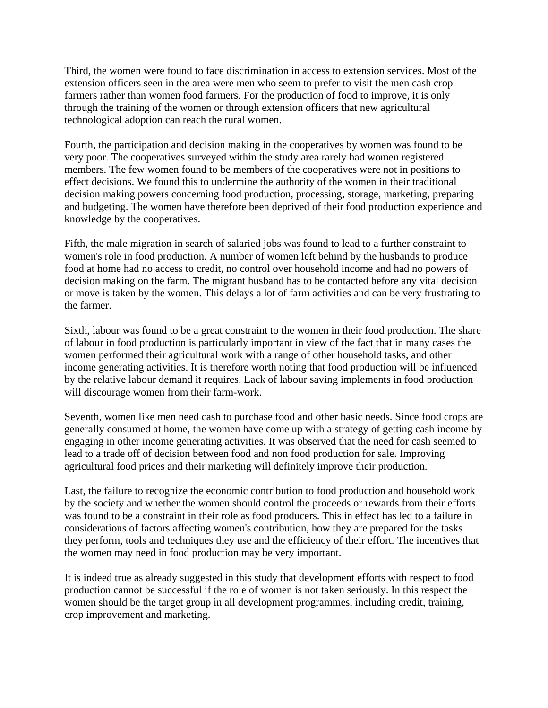Third, the women were found to face discrimination in access to extension services. Most of the extension officers seen in the area were men who seem to prefer to visit the men cash crop farmers rather than women food farmers. For the production of food to improve, it is only through the training of the women or through extension officers that new agricultural technological adoption can reach the rural women.

Fourth, the participation and decision making in the cooperatives by women was found to be very poor. The cooperatives surveyed within the study area rarely had women registered members. The few women found to be members of the cooperatives were not in positions to effect decisions. We found this to undermine the authority of the women in their traditional decision making powers concerning food production, processing, storage, marketing, preparing and budgeting. The women have therefore been deprived of their food production experience and knowledge by the cooperatives.

Fifth, the male migration in search of salaried jobs was found to lead to a further constraint to women's role in food production. A number of women left behind by the husbands to produce food at home had no access to credit, no control over household income and had no powers of decision making on the farm. The migrant husband has to be contacted before any vital decision or move is taken by the women. This delays a lot of farm activities and can be very frustrating to the farmer.

Sixth, labour was found to be a great constraint to the women in their food production. The share of labour in food production is particularly important in view of the fact that in many cases the women performed their agricultural work with a range of other household tasks, and other income generating activities. It is therefore worth noting that food production will be influenced by the relative labour demand it requires. Lack of labour saving implements in food production will discourage women from their farm-work.

Seventh, women like men need cash to purchase food and other basic needs. Since food crops are generally consumed at home, the women have come up with a strategy of getting cash income by engaging in other income generating activities. It was observed that the need for cash seemed to lead to a trade off of decision between food and non food production for sale. Improving agricultural food prices and their marketing will definitely improve their production.

Last, the failure to recognize the economic contribution to food production and household work by the society and whether the women should control the proceeds or rewards from their efforts was found to be a constraint in their role as food producers. This in effect has led to a failure in considerations of factors affecting women's contribution, how they are prepared for the tasks they perform, tools and techniques they use and the efficiency of their effort. The incentives that the women may need in food production may be very important.

It is indeed true as already suggested in this study that development efforts with respect to food production cannot be successful if the role of women is not taken seriously. In this respect the women should be the target group in all development programmes, including credit, training, crop improvement and marketing.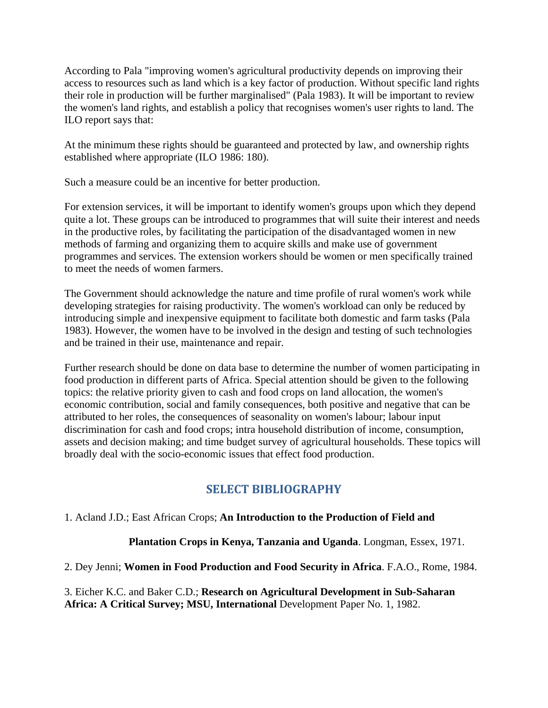According to Pala "improving women's agricultural productivity depends on improving their access to resources such as land which is a key factor of production. Without specific land rights their role in production will be further marginalised" (Pala 1983). It will be important to review the women's land rights, and establish a policy that recognises women's user rights to land. The ILO report says that:

At the minimum these rights should be guaranteed and protected by law, and ownership rights established where appropriate (ILO 1986: 180).

Such a measure could be an incentive for better production.

For extension services, it will be important to identify women's groups upon which they depend quite a lot. These groups can be introduced to programmes that will suite their interest and needs in the productive roles, by facilitating the participation of the disadvantaged women in new methods of farming and organizing them to acquire skills and make use of government programmes and services. The extension workers should be women or men specifically trained to meet the needs of women farmers.

The Government should acknowledge the nature and time profile of rural women's work while developing strategies for raising productivity. The women's workload can only be reduced by introducing simple and inexpensive equipment to facilitate both domestic and farm tasks (Pala 1983). However, the women have to be involved in the design and testing of such technologies and be trained in their use, maintenance and repair.

Further research should be done on data base to determine the number of women participating in food production in different parts of Africa. Special attention should be given to the following topics: the relative priority given to cash and food crops on land allocation, the women's economic contribution, social and family consequences, both positive and negative that can be attributed to her roles, the consequences of seasonality on women's labour; labour input discrimination for cash and food crops; intra household distribution of income, consumption, assets and decision making; and time budget survey of agricultural households. These topics will broadly deal with the socio-economic issues that effect food production.

# **SELECT BIBLIOGRAPHY**

### 1. Acland J.D.; East African Crops; **An Introduction to the Production of Field and**

**Plantation Crops in Kenya, Tanzania and Uganda**. Longman, Essex, 1971.

2. Dey Jenni; **Women in Food Production and Food Security in Africa**. F.A.O., Rome, 1984.

3. Eicher K.C. and Baker C.D.; **Research on Agricultural Development in Sub-Saharan Africa: A Critical Survey; MSU, International** Development Paper No. 1, 1982.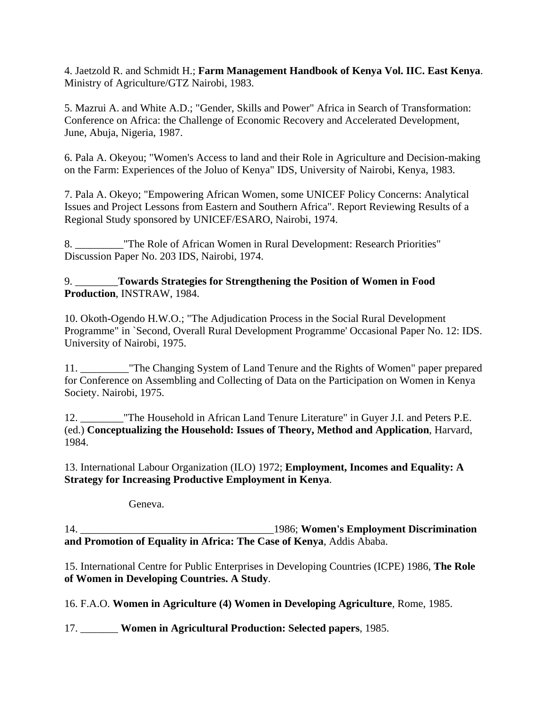4. Jaetzold R. and Schmidt H.; **Farm Management Handbook of Kenya Vol. IIC. East Kenya**. Ministry of Agriculture/GTZ Nairobi, 1983.

5. Mazrui A. and White A.D.; "Gender, Skills and Power" Africa in Search of Transformation: Conference on Africa: the Challenge of Economic Recovery and Accelerated Development, June, Abuja, Nigeria, 1987.

6. Pala A. Okeyou; "Women's Access to land and their Role in Agriculture and Decision-making on the Farm: Experiences of the Joluo of Kenya" IDS, University of Nairobi, Kenya, 1983.

7. Pala A. Okeyo; "Empowering African Women, some UNICEF Policy Concerns: Analytical Issues and Project Lessons from Eastern and Southern Africa". Report Reviewing Results of a Regional Study sponsored by UNICEF/ESARO, Nairobi, 1974.

8. \_\_\_\_\_\_\_\_\_"The Role of African Women in Rural Development: Research Priorities" Discussion Paper No. 203 IDS, Nairobi, 1974.

#### 9. \_\_\_\_\_\_\_\_**Towards Strategies for Strengthening the Position of Women in Food Production**, INSTRAW, 1984.

10. Okoth-Ogendo H.W.O.; "The Adjudication Process in the Social Rural Development Programme" in `Second, Overall Rural Development Programme' Occasional Paper No. 12: IDS. University of Nairobi, 1975.

11. \_\_\_\_\_\_\_\_\_"The Changing System of Land Tenure and the Rights of Women" paper prepared for Conference on Assembling and Collecting of Data on the Participation on Women in Kenya Society. Nairobi, 1975.

12. **The Household in African Land Tenure Literature" in Guyer J.I. and Peters P.E.** (ed.) **Conceptualizing the Household: Issues of Theory, Method and Application**, Harvard, 1984.

13. International Labour Organization (ILO) 1972; **Employment, Incomes and Equality: A Strategy for Increasing Productive Employment in Kenya**.

Geneva.

14. \_\_\_\_\_\_\_\_\_\_\_\_\_\_\_\_\_\_\_\_\_\_\_\_\_\_\_\_\_\_\_\_\_\_\_\_1986; **Women's Employment Discrimination and Promotion of Equality in Africa: The Case of Kenya**, Addis Ababa.

15. International Centre for Public Enterprises in Developing Countries (ICPE) 1986, **The Role of Women in Developing Countries. A Study**.

16. F.A.O. **Women in Agriculture (4) Women in Developing Agriculture**, Rome, 1985.

17. \_\_\_\_\_\_\_ **Women in Agricultural Production: Selected papers**, 1985.